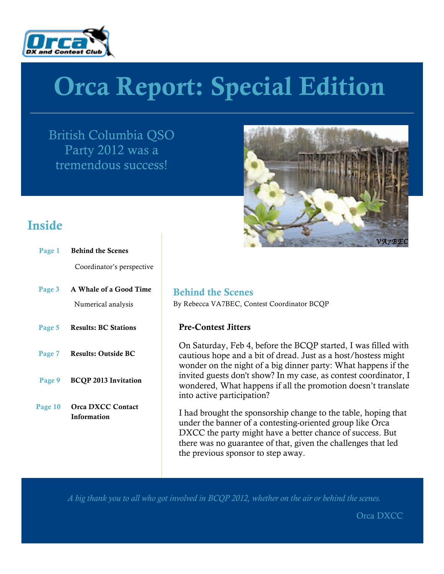

# Orca Report: Special Edition

British Columbia QSO Party 2012 was a tremendous success!



### Inside

| Page 1 Behind the Scenes                        |
|-------------------------------------------------|
| Coordinator's perspective                       |
| Page 3 A Whale of a Good Time                   |
| Numerical analysis                              |
| Page 5 Results: BC Stations                     |
| Page 7 Results: Outside BC                      |
| Page 9 BCQP 2013 Invitation                     |
| Page 10 Orca DXCC Contact<br><b>Information</b> |
|                                                 |
|                                                 |

Behind the Scenes By Rebecca VA7BEC, Contest Coordinator BCQP

### Pre-Contest Jitters

On Saturday, Feb 4, before the BCQP started, I was filled with cautious hope and a bit of dread. Just as a host/hostess might wonder on the night of a big dinner party: What happens if the invited guests don't show? In my case, as contest coordinator, I wondered, What happens if all the promotion doesn't translate into active participation?

I had brought the sponsorship change to the table, hoping that under the banner of a contesting-oriented group like Orca DXCC the party might have a better chance of success. But there was no guarantee of that, given the challenges that led the previous sponsor to step away.

*A big thank you to all who got involved in BCQP 2012, whether on the air or behind the scenes.*

Orca DXCC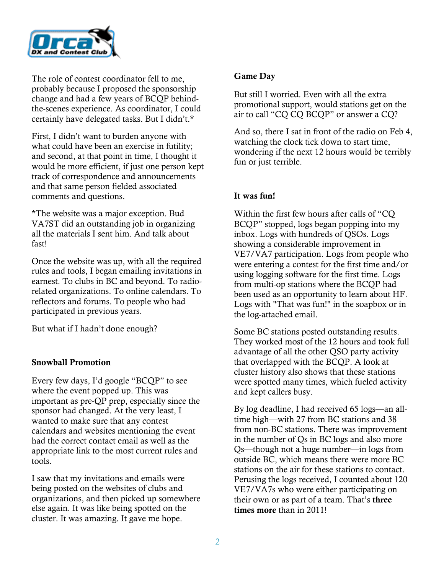

The role of contest coordinator fell to me, probably because I proposed the sponsorship change and had a few years of BCQP behindthe-scenes experience. As coordinator, I could certainly have delegated tasks. But I didn't.\*

First, I didn't want to burden anyone with what could have been an exercise in futility; and second, at that point in time, I thought it would be more efficient, if just one person kept track of correspondence and announcements and that same person fielded associated comments and questions.

\*The website was a major exception. Bud VA7ST did an outstanding job in organizing all the materials I sent him. And talk about fast!

Once the website was up, with all the required rules and tools, I began emailing invitations in earnest. To clubs in BC and beyond. To radiorelated organizations. To online calendars. To reflectors and forums. To people who had participated in previous years.

But what if I hadn't done enough?

### Snowball Promotion

Every few days, I'd google "BCQP" to see where the event popped up. This was important as pre-QP prep, especially since the sponsor had changed. At the very least, I wanted to make sure that any contest calendars and websites mentioning the event had the correct contact email as well as the appropriate link to the most current rules and tools.

I saw that my invitations and emails were being posted on the websites of clubs and organizations, and then picked up somewhere else again. It was like being spotted on the cluster. It was amazing. It gave me hope.

#### Game Day

But still I worried. Even with all the extra promotional support, would stations get on the air to call "CQ CQ BCQP" or answer a CQ?

And so, there I sat in front of the radio on Feb 4, watching the clock tick down to start time, wondering if the next 12 hours would be terribly fun or just terrible.

### It was fun!

Within the first few hours after calls of "CQ BCQP" stopped, logs began popping into my inbox. Logs with hundreds of QSOs. Logs showing a considerable improvement in VE7/VA7 participation. Logs from people who were entering a contest for the first time and/or using logging software for the first time. Logs from multi-op stations where the BCQP had been used as an opportunity to learn about HF. Logs with "That was fun!" in the soapbox or in the log-attached email.

Some BC stations posted outstanding results. They worked most of the 12 hours and took full advantage of all the other QSO party activity that overlapped with the BCQP. A look at cluster history also shows that these stations were spotted many times, which fueled activity and kept callers busy.

By log deadline, I had received 65 logs—an alltime high—with 27 from BC stations and 38 from non-BC stations. There was improvement in the number of Qs in BC logs and also more Qs—though not a huge number—in logs from outside BC, which means there were more BC stations on the air for these stations to contact. Perusing the logs received, I counted about 120 VE7/VA7s who were either participating on their own or as part of a team. That's three times more than in 2011!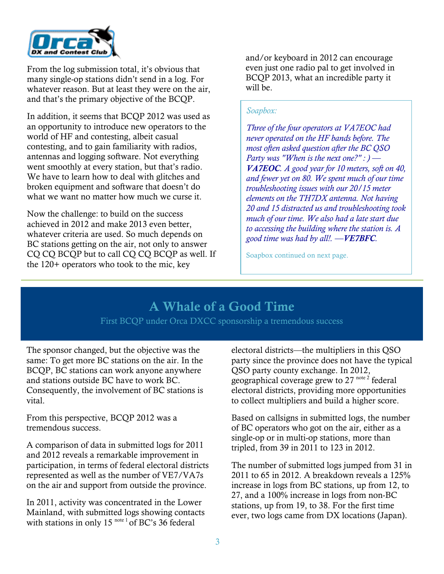

From the log submission total, it's obvious that many single-op stations didn't send in a log. For whatever reason. But at least they were on the air, and that's the primary objective of the BCQP.

In addition, it seems that BCQP 2012 was used as an opportunity to introduce new operators to the world of HF and contesting, albeit casual contesting, and to gain familiarity with radios, antennas and logging software. Not everything went smoothly at every station, but that's radio. We have to learn how to deal with glitches and broken equipment and software that doesn't do what we want no matter how much we curse it.

Now the challenge: to build on the success achieved in 2012 and make 2013 even better, whatever criteria are used. So much depends on BC stations getting on the air, not only to answer CQ CQ BCQP but to call CQ CQ BCQP as well. If the 120+ operators who took to the mic, key

and/or keyboard in 2012 can encourage even just one radio pal to get involved in BCQP 2013, what an incredible party it will be.

### *Soapbox:*

*Three of the four operators at VA7EOC had never operated on the HF bands before. The most often asked question after the BC QSO Party was "When is the next one?" : ) — VA7EOC. A good year for 10 meters, soft on 40, and fewer yet on 80. We spent much of our time troubleshooting issues with our 20/15 meter elements on the TH7DX antenna. Not having 20 and 15 distracted us and troubleshooting took much of our time. We also had a late start due to accessing the building where the station is. A good time was had by all!. —VE7BFC.*

Soapbox continued on next page.

### A Whale of a Good Time

First BCQP under Orca DXCC sponsorship a tremendous success

The sponsor changed, but the objective was the same: To get more BC stations on the air. In the BCQP, BC stations can work anyone anywhere and stations outside BC have to work BC. Consequently, the involvement of BC stations is vital.

From this perspective, BCQP 2012 was a tremendous success.

A comparison of data in submitted logs for 2011 and 2012 reveals a remarkable improvement in participation, in terms of federal electoral districts represented as well as the number of VE7/VA7s on the air and support from outside the province.

In 2011, activity was concentrated in the Lower Mainland, with submitted logs showing contacts with stations in only 15<sup>note 1</sup> of BC's 36 federal

electoral districts—the multipliers in this QSO party since the province does not have the typical QSO party county exchange. In 2012, geographical coverage grew to 27 note 2 federal electoral districts, providing more opportunities to collect multipliers and build a higher score.

Based on callsigns in submitted logs, the number of BC operators who got on the air, either as a single-op or in multi-op stations, more than tripled, from 39 in 2011 to 123 in 2012.

The number of submitted logs jumped from 31 in 2011 to 65 in 2012. A breakdown reveals a 125% increase in logs from BC stations, up from 12, to 27, and a 100% increase in logs from non-BC stations, up from 19, to 38. For the first time ever, two logs came from DX locations (Japan).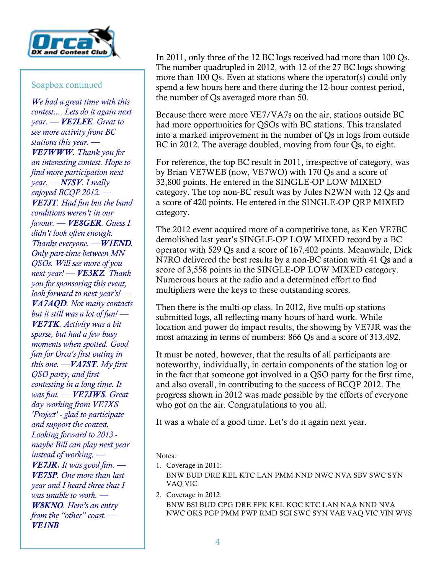

### Soapbox continued

*We had a great time with this contest.... Lets do it again next year. — VE7LFE. Great to see more activity from BC stations this year. — VE7WWW. Thank you for an interesting contest. Hope to find more participation next year. — N7SV. I really enjoyed BCQP 2012. — VE7JT. Had fun but the band conditions weren't in our favour. — VE8GER. Guess I didn't look often enough. Thanks everyone. —W1END. Only part-time between MN QSOs. Will see more of you next year! — VE3KZ. Thank you for sponsoring this event, look forward to next year's! — VA7AQD. Not many contacts but it still was a lot of fun! — VE7TK. Activity was a bit sparse, but had a few busy moments when spotted. Good fun for Orca's first outing in this one. —VA7ST. My first QSO party, and first contesting in a long time. It was fun. — VE7JWS. Great day working from VE7XS 'Project' - glad to participate and support the contest. Looking forward to 2013 maybe Bill can play next year instead of working. — VE7JR. It was good fun. — VE7SP. One more than last year and I heard three that I was unable to work. — W8KNO. Here's an entry from the "other" coast. — VE1NB*

In 2011, only three of the 12 BC logs received had more than 100 Qs. The number quadrupled in 2012, with 12 of the 27 BC logs showing more than 100 Qs. Even at stations where the operator(s) could only spend a few hours here and there during the 12-hour contest period, the number of Qs averaged more than 50.

Because there were more VE7/VA7s on the air, stations outside BC had more opportunities for QSOs with BC stations. This translated into a marked improvement in the number of Qs in logs from outside BC in 2012. The average doubled, moving from four Qs, to eight.

For reference, the top BC result in 2011, irrespective of category, was by Brian VE7WEB (now, VE7WO) with 170 Qs and a score of 32,800 points. He entered in the SINGLE-OP LOW MIXED category. The top non-BC result was by Jules N2WN with 12 Qs and a score of 420 points. He entered in the SINGLE-OP QRP MIXED category.

The 2012 event acquired more of a competitive tone, as Ken VE7BC demolished last year's SINGLE-OP LOW MIXED record by a BC operator with 529 Qs and a score of 167,402 points. Meanwhile, Dick N7RO delivered the best results by a non-BC station with 41 Qs and a score of 3,558 points in the SINGLE-OP LOW MIXED category. Numerous hours at the radio and a determined effort to find multipliers were the keys to these outstanding scores.

Then there is the multi-op class. In 2012, five multi-op stations submitted logs, all reflecting many hours of hard work. While location and power do impact results, the showing by VE7JR was the most amazing in terms of numbers: 866 Qs and a score of 313,492.

It must be noted, however, that the results of all participants are noteworthy, individually, in certain components of the station log or in the fact that someone got involved in a QSO party for the first time, and also overall, in contributing to the success of BCQP 2012. The progress shown in 2012 was made possible by the efforts of everyone who got on the air. Congratulations to you all.

It was a whale of a good time. Let's do it again next year.

Notes:

1. Coverage in 2011: BNW BUD DRE KEL KTC LAN PMM NND NWC NVA SBV SWC SYN VAQ VIC

2. Coverage in 2012: BNW BSI BUD CPG DRE FPK KEL KOC KTC LAN NAA NND NVA NWC OKS PGP PMM PWP RMD SGI SWC SYN VAE VAQ VIC VIN WVS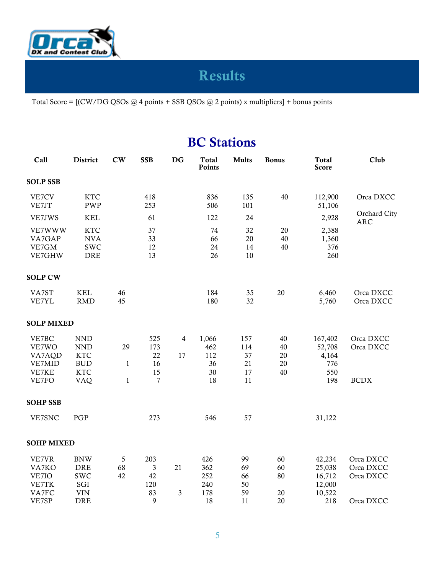

# Results

Total Score = [(CW/DG QSOs @ 4 points + SSB QSOs @ 2 points) x multipliers] + bonus points

### **BC** Stations

| Call                                                 | District                                                                            | $cw$                          | <b>SSB</b>                                     | <b>DG</b> | <b>Total</b><br>Points                | <b>Mults</b>                       | <b>Bonus</b>                       | <b>Total</b><br><b>Score</b>                          | Club                                             |
|------------------------------------------------------|-------------------------------------------------------------------------------------|-------------------------------|------------------------------------------------|-----------|---------------------------------------|------------------------------------|------------------------------------|-------------------------------------------------------|--------------------------------------------------|
| <b>SOLP SSB</b>                                      |                                                                                     |                               |                                                |           |                                       |                                    |                                    |                                                       |                                                  |
| VE7CV<br>VE7JT                                       | <b>KTC</b><br><b>PWP</b>                                                            |                               | 418<br>253                                     |           | 836<br>506                            | 135<br>101                         | 40                                 | 112,900<br>51,106                                     | Orca DXCC                                        |
| VE7JWS                                               | <b>KEL</b>                                                                          |                               | 61                                             |           | 122                                   | 24                                 |                                    | 2,928                                                 | Orchard City<br><b>ARC</b>                       |
| VE7WWW<br>VA7GAP<br>VE7GM<br>VE7GHW                  | <b>KTC</b><br><b>NVA</b><br><b>SWC</b><br>DRE                                       |                               | 37<br>33<br>12<br>13                           |           | 74<br>66<br>24<br>26                  | 32<br>20<br>14<br>$10\,$           | 20<br>40<br>40                     | 2,388<br>1,360<br>376<br>260                          |                                                  |
| <b>SOLP CW</b>                                       |                                                                                     |                               |                                                |           |                                       |                                    |                                    |                                                       |                                                  |
| VA7ST<br>VE7YL                                       | <b>KEL</b><br><b>RMD</b>                                                            | 46<br>45                      |                                                |           | 184<br>180                            | 35<br>32                           | $20\,$                             | 6,460<br>5,760                                        | Orca DXCC<br>Orca DXCC                           |
| <b>SOLP MIXED</b>                                    |                                                                                     |                               |                                                |           |                                       |                                    |                                    |                                                       |                                                  |
| VE7BC<br>VE7WO<br>VA7AQD<br>VE7MID<br>VE7KE<br>VE7FO | <b>NND</b><br><b>NND</b><br><b>KTC</b><br><b>BUD</b><br><b>KTC</b><br><b>VAQ</b>    | 29<br>$\mathbf{1}$<br>$\,1\,$ | 525<br>173<br>22<br>16<br>15<br>$\overline{7}$ | 4<br>17   | 1,066<br>462<br>112<br>36<br>30<br>18 | 157<br>114<br>37<br>21<br>17<br>11 | 40<br>40<br>$20\,$<br>$20\,$<br>40 | 167,402<br>52,708<br>4,164<br>776<br>550<br>198       | Orca DXCC<br>Orca DXCC<br><b>BCDX</b>            |
| <b>SOHP SSB</b>                                      |                                                                                     |                               |                                                |           |                                       |                                    |                                    |                                                       |                                                  |
| VE7SNC                                               | PGP                                                                                 |                               | 273                                            |           | 546                                   | 57                                 |                                    | 31,122                                                |                                                  |
| <b>SOHP MIXED</b>                                    |                                                                                     |                               |                                                |           |                                       |                                    |                                    |                                                       |                                                  |
| VE7VR<br>VA7KO<br>VE7IO<br>VE7TK<br>VA7FC<br>VE7SP   | <b>BNW</b><br>DRE<br><b>SWC</b><br>$\operatorname{SGI}$<br><b>VIN</b><br><b>DRE</b> | $\sqrt{5}$<br>68<br>42        | 203<br>$\mathfrak{Z}$<br>42<br>120<br>83<br>9  | 21<br>3   | 426<br>362<br>252<br>240<br>178<br>18 | 99<br>69<br>66<br>50<br>59<br>11   | 60<br>60<br>80<br>20<br>20         | 42,234<br>25,038<br>16,712<br>12,000<br>10,522<br>218 | Orca DXCC<br>Orca DXCC<br>Orca DXCC<br>Orca DXCC |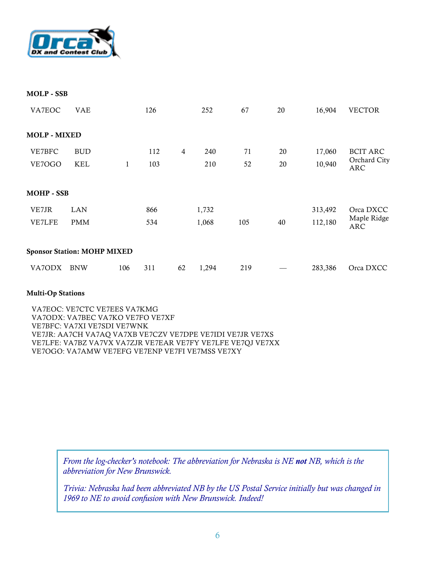

| <b>MOLP - SSB</b>                  |            |     |     |                |       |     |    |         |                           |
|------------------------------------|------------|-----|-----|----------------|-------|-----|----|---------|---------------------------|
| VA7EOC                             | <b>VAE</b> |     | 126 |                | 252   | 67  | 20 | 16,904  | <b>VECTOR</b>             |
| <b>MOLP - MIXED</b>                |            |     |     |                |       |     |    |         |                           |
| VE7BFC                             | <b>BUD</b> |     | 112 | $\overline{4}$ | 240   | 71  | 20 | 17,060  | <b>BCIT ARC</b>           |
| VE7OGO                             | <b>KEL</b> | 1   | 103 |                | 210   | 52  | 20 | 10,940  | Orchard City<br>ARC       |
| <b>MOHP - SSB</b>                  |            |     |     |                |       |     |    |         |                           |
| VE7JR                              | <b>LAN</b> |     | 866 |                | 1,732 |     |    | 313,492 | Orca DXCC                 |
| <b>VE7LFE</b>                      | <b>PMM</b> |     | 534 |                | 1,068 | 105 | 40 | 112,180 | Maple Ridge<br><b>ARC</b> |
| <b>Sponsor Station: MOHP MIXED</b> |            |     |     |                |       |     |    |         |                           |
| VA7ODX                             | <b>BNW</b> | 106 | 311 | 62             | 1,294 | 219 |    | 283,386 | Orca DXCC                 |

#### Multi-Op Stations

VA7EOC: VE7CTC VE7EES VA7KMG VA7ODX: VA7BEC VA7KO VE7FO VE7XF VE7BFC: VA7XI VE7SDI VE7WNK VE7JR: AA7CH VA7AQ VA7XB VE7CZV VE7DPE VE7IDI VE7JR VE7XS VE7LFE: VA7BZ VA7VX VA7ZJR VE7EAR VE7FY VE7LFE VE7QJ VE7XX VE7OGO: VA7AMW VE7EFG VE7ENP VE7FI VE7MSS VE7XY

> *From the log-checker's notebook: The abbreviation for Nebraska is NE not NB, which is the abbreviation for New Brunswick.*

*Trivia: Nebraska had been abbreviated NB by the US Postal Service initially but was changed in 1969 to NE to avoid confusion with New Brunswick. Indeed!*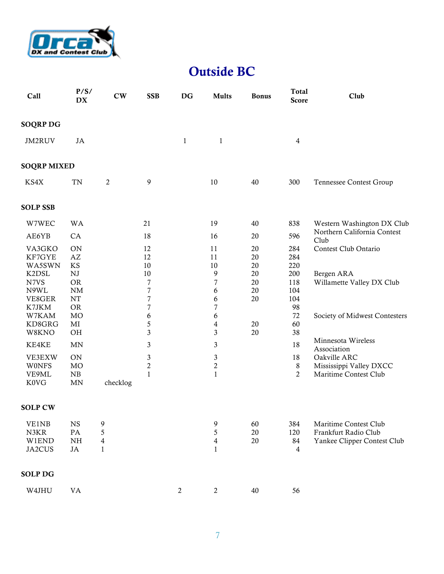

### Outside BC

| Call                                                                                                                                                   | P/S/<br><b>DX</b>                                                                                                                                                                           | $cw$                        | <b>SSB</b>                                                                                                                                 | <b>DG</b>        | <b>Mults</b>                                                                                                                                | <b>Bonus</b>                                       | Total<br><b>Score</b>                                                                                          | Club                                                                                                                                                                                                      |
|--------------------------------------------------------------------------------------------------------------------------------------------------------|---------------------------------------------------------------------------------------------------------------------------------------------------------------------------------------------|-----------------------------|--------------------------------------------------------------------------------------------------------------------------------------------|------------------|---------------------------------------------------------------------------------------------------------------------------------------------|----------------------------------------------------|----------------------------------------------------------------------------------------------------------------|-----------------------------------------------------------------------------------------------------------------------------------------------------------------------------------------------------------|
| <b>SOQRP DG</b>                                                                                                                                        |                                                                                                                                                                                             |                             |                                                                                                                                            |                  |                                                                                                                                             |                                                    |                                                                                                                |                                                                                                                                                                                                           |
| JM2RUV                                                                                                                                                 | <b>JA</b>                                                                                                                                                                                   |                             |                                                                                                                                            | $\mathbf{1}$     | $\,1$                                                                                                                                       |                                                    | $\overline{4}$                                                                                                 |                                                                                                                                                                                                           |
| <b>SOQRP MIXED</b>                                                                                                                                     |                                                                                                                                                                                             |                             |                                                                                                                                            |                  |                                                                                                                                             |                                                    |                                                                                                                |                                                                                                                                                                                                           |
| KS4X                                                                                                                                                   | <b>TN</b>                                                                                                                                                                                   | $\mathbf{2}$                | 9                                                                                                                                          |                  | 10                                                                                                                                          | 40                                                 | 300                                                                                                            | Tennessee Contest Group                                                                                                                                                                                   |
| <b>SOLP SSB</b>                                                                                                                                        |                                                                                                                                                                                             |                             |                                                                                                                                            |                  |                                                                                                                                             |                                                    |                                                                                                                |                                                                                                                                                                                                           |
| W7WEC                                                                                                                                                  | WA                                                                                                                                                                                          |                             | 21                                                                                                                                         |                  | 19                                                                                                                                          | 40                                                 | 838                                                                                                            | Western Washington DX Club                                                                                                                                                                                |
| AE6YB                                                                                                                                                  | CA                                                                                                                                                                                          |                             | 18                                                                                                                                         |                  | 16                                                                                                                                          | 20                                                 | 596                                                                                                            | Northern California Contest<br>Club                                                                                                                                                                       |
| VA3GKO<br>KF7GYE<br>WA5SWN<br>K2DSL<br>N7VS<br>N9WL<br>VE8GER<br>K7JKM<br>W7KAM<br>KD8GRG<br>W8KNO<br>KE4KE<br>VE3EXW<br><b>W0NFS</b><br>VE9ML<br>K0VG | <b>ON</b><br>$\mathbf{A}\mathbf{Z}$<br>$\mathop{\mathrm{KS}}$<br>${\rm NJ}$<br><b>OR</b><br>$\rm{NM}$<br>NT<br><b>OR</b><br>MO<br>MI<br>OH<br>MN<br><b>ON</b><br>M <sub>O</sub><br>NB<br>MN | checklog                    | 12<br>12<br>10<br>10<br>7<br>$\overline{7}$<br>$\overline{7}$<br>$\overline{7}$<br>6<br>5<br>3<br>3<br>3<br>$\overline{c}$<br>$\mathbf{1}$ |                  | 11<br>11<br>10<br>9<br>$\overline{7}$<br>6<br>6<br>$\overline{7}$<br>6<br>$\overline{4}$<br>3<br>3<br>3<br>$\boldsymbol{2}$<br>$\mathbf{1}$ | 20<br>20<br>20<br>20<br>20<br>20<br>20<br>20<br>20 | 284<br>284<br>220<br>200<br>118<br>104<br>104<br>98<br>72<br>60<br>38<br>18<br>18<br>$\,8\,$<br>$\overline{2}$ | Contest Club Ontario<br>Bergen ARA<br>Willamette Valley DX Club<br>Society of Midwest Contesters<br>Minnesota Wireless<br>Association<br>Oakville ARC<br>Mississippi Valley DXCC<br>Maritime Contest Club |
| <b>SOLP CW</b>                                                                                                                                         |                                                                                                                                                                                             |                             |                                                                                                                                            |                  |                                                                                                                                             |                                                    |                                                                                                                |                                                                                                                                                                                                           |
| <b>VE1NB</b><br>N3KR<br>W1END<br>JA2CUS                                                                                                                | <b>NS</b><br>PA<br>$\rm{NH}$<br>JA                                                                                                                                                          | 9<br>5<br>4<br>$\mathbf{1}$ |                                                                                                                                            |                  | 9<br>$\sqrt{5}$<br>$\overline{\mathbf{4}}$<br>1                                                                                             | 60<br>20<br>20                                     | 384<br>120<br>84<br>$\overline{4}$                                                                             | Maritime Contest Club<br>Frankfurt Radio Club<br>Yankee Clipper Contest Club                                                                                                                              |
| <b>SOLP DG</b>                                                                                                                                         |                                                                                                                                                                                             |                             |                                                                                                                                            |                  |                                                                                                                                             |                                                    |                                                                                                                |                                                                                                                                                                                                           |
| W4JHU                                                                                                                                                  | $\mathsf{V}\mathsf{A}$                                                                                                                                                                      |                             |                                                                                                                                            | $\boldsymbol{2}$ | $\mathbf{2}$                                                                                                                                | 40                                                 | 56                                                                                                             |                                                                                                                                                                                                           |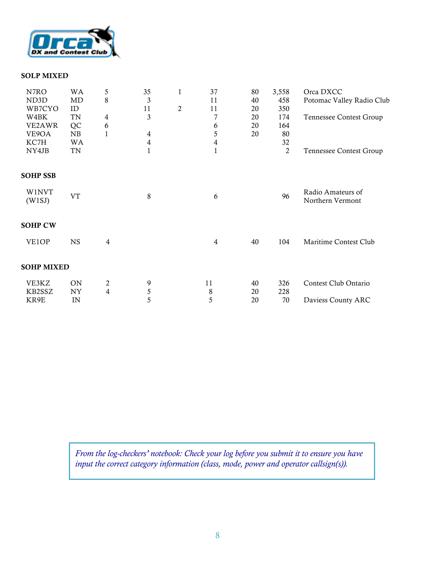

#### SOLP MIXED

| N7RO              | <b>WA</b> | 5              | 35             | 1              | 37             | 80 | 3,558 | Orca DXCC                             |
|-------------------|-----------|----------------|----------------|----------------|----------------|----|-------|---------------------------------------|
| ND3D              | MD        | 8              | 3              |                | 11             | 40 | 458   | Potomac Valley Radio Club             |
| WB7CYO            | ID        |                | 11             | $\overline{c}$ | 11             | 20 | 350   |                                       |
| W4BK              | TN        | $\overline{4}$ | 3              |                | $\overline{7}$ | 20 | 174   | <b>Tennessee Contest Group</b>        |
| VE2AWR            | QC        | 6              |                |                | 6              | 20 | 164   |                                       |
| VE9OA             | NB        | 1              | $\overline{4}$ |                | 5              | 20 | 80    |                                       |
| KC7H              | WA        |                | 4              |                | 4              |    | 32    |                                       |
| NY4JB             | TN        |                | 1              |                | 1              |    | 2     | <b>Tennessee Contest Group</b>        |
| <b>SOHP SSB</b>   |           |                |                |                |                |    |       |                                       |
| W1NVT<br>(W1SJ)   | <b>VT</b> |                | 8              |                | 6              |    | 96    | Radio Amateurs of<br>Northern Vermont |
| <b>SOHP CW</b>    |           |                |                |                |                |    |       |                                       |
| VE1OP             | <b>NS</b> | 4              |                |                | 4              | 40 | 104   | Maritime Contest Club                 |
| <b>SOHP MIXED</b> |           |                |                |                |                |    |       |                                       |
| VE3KZ             | <b>ON</b> | $\overline{c}$ | 9              |                | 11             | 40 | 326   | Contest Club Ontario                  |
| KB2SSZ            | NY        | $\overline{4}$ | 5              |                | 8              | 20 | 228   |                                       |
| KR9E              | IN        |                | 5              |                | 5              | 20 | 70    | Daviess County ARC                    |

*From the log-checkers' notebook: Check your log before you submit it to ensure you have input the correct category information (class, mode, power and operator callsign(s)).*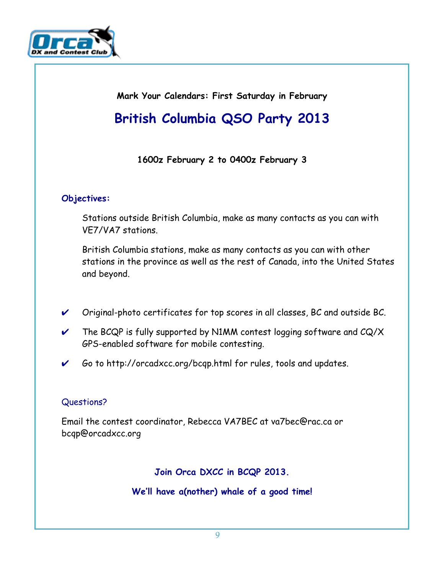

**Mark Your Calendars: First Saturday in February**

## **British Columbia QSO Party 2013**

### **1600z February 2 to 0400z February 3**

### **Objectives:**

Stations outside British Columbia, make as many contacts as you can with VE7/VA7 stations.

British Columbia stations, make as many contacts as you can with other stations in the province as well as the rest of Canada, into the United States and beyond.

- ✔ Original-photo certificates for top scores in all classes, BC and outside BC.
- $\vee$  The BCQP is fully supported by N1MM contest logging software and CQ/X GPS-enabled software for mobile contesting.
- ✔ Go to http://orcadxcc.org/bcqp.html for rules, tools and updates.

### Questions?

Email the contest coordinator, Rebecca VA7BEC at va7bec@rac.ca or bcqp@orcadxcc.org

**Join Orca DXCC in BCQP 2013.** 

**We'll have a(nother) whale of a good time!**